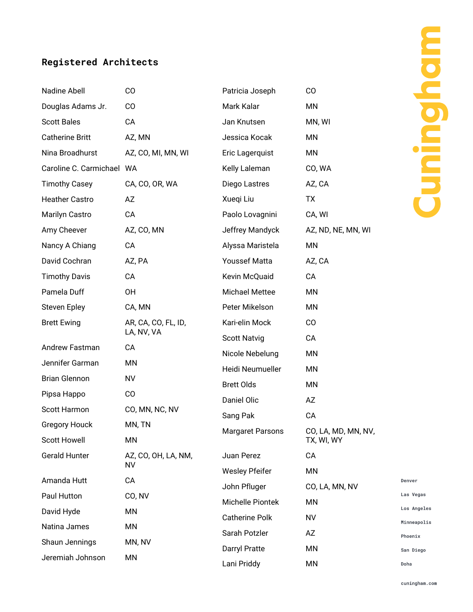## **Registered Architects**

| Nadine Abell                        | CO                              | Patricia Joseph         | CO                                |
|-------------------------------------|---------------------------------|-------------------------|-----------------------------------|
| Douglas Adams Jr.                   | CO                              | Mark Kalar              | MN                                |
| <b>Scott Bales</b>                  | CA                              | Jan Knutsen             | MN, WI                            |
| <b>Catherine Britt</b>              | AZ, MN                          | Jessica Kocak           | MN                                |
| Nina Broadhurst                     | AZ, CO, MI, MN, WI              | Eric Lagerquist         | MN                                |
| Caroline C. Carmichael WA           |                                 | Kelly Laleman           | CO, WA                            |
| <b>Timothy Casey</b>                | CA, CO, OR, WA                  | Diego Lastres           | AZ, CA                            |
| <b>Heather Castro</b>               | AZ                              | Xueqi Liu               | <b>TX</b>                         |
| <b>Marilyn Castro</b>               | CA                              | Paolo Lovagnini         | CA, WI                            |
| Amy Cheever                         | AZ, CO, MN                      | Jeffrey Mandyck         | AZ, ND, NE, MN, WI                |
| Nancy A Chiang                      | CA                              | Alyssa Maristela        | MN                                |
| David Cochran                       | AZ, PA                          | <b>Youssef Matta</b>    | AZ, CA                            |
| <b>Timothy Davis</b>                | CA                              | Kevin McQuaid           | CA                                |
| Pamela Duff                         | OH                              | <b>Michael Mettee</b>   | MN                                |
| <b>Steven Epley</b>                 | CA, MN                          | Peter Mikelson          | MN                                |
| <b>Brett Ewing</b>                  | AR, CA, CO, FL, ID,             | Kari-elin Mock          | CO                                |
|                                     | LA, NV, VA                      | <b>Scott Natvig</b>     | CA                                |
| Andrew Fastman                      | CA                              | Nicole Nebelung         | MN                                |
| Jennifer Garman                     | ΜN                              | Heidi Neumueller        | MN                                |
| <b>Brian Glennon</b>                | <b>NV</b>                       | <b>Brett Olds</b>       | MN                                |
| Pipsa Happo                         | CO                              | Daniel Olic             | AZ                                |
| Scott Harmon                        | CO, MN, NC, NV                  | Sang Pak                | CA                                |
| <b>Gregory Houck</b>                | MN, TN                          | <b>Margaret Parsons</b> | CO, LA, MD, MN, NV,<br>TX, WI, WY |
| <b>Scott Howell</b>                 | MN                              |                         |                                   |
| <b>Gerald Hunter</b><br>Amanda Hutt | AZ, CO, OH, LA, NM,<br>NV<br>CA | Juan Perez              | CA                                |
|                                     |                                 | <b>Wesley Pfeifer</b>   | MN                                |
|                                     |                                 | John Pfluger            | CO, LA, MN, NV                    |
| Paul Hutton                         | CO, NV                          | Michelle Piontek        | MN                                |
| David Hyde                          | MN                              | <b>Catherine Polk</b>   | <b>NV</b>                         |
| Natina James                        | MN                              | Sarah Potzler           | AZ                                |
| Shaun Jennings                      | MN, NV<br>MN                    | Darryl Pratte           | ΜN                                |
| Jeremiah Johnson                    |                                 | Lani Priddy             | MN                                |

Denver Las Vegas Los Angeles Minneapolis Phoenix San Diego Doha